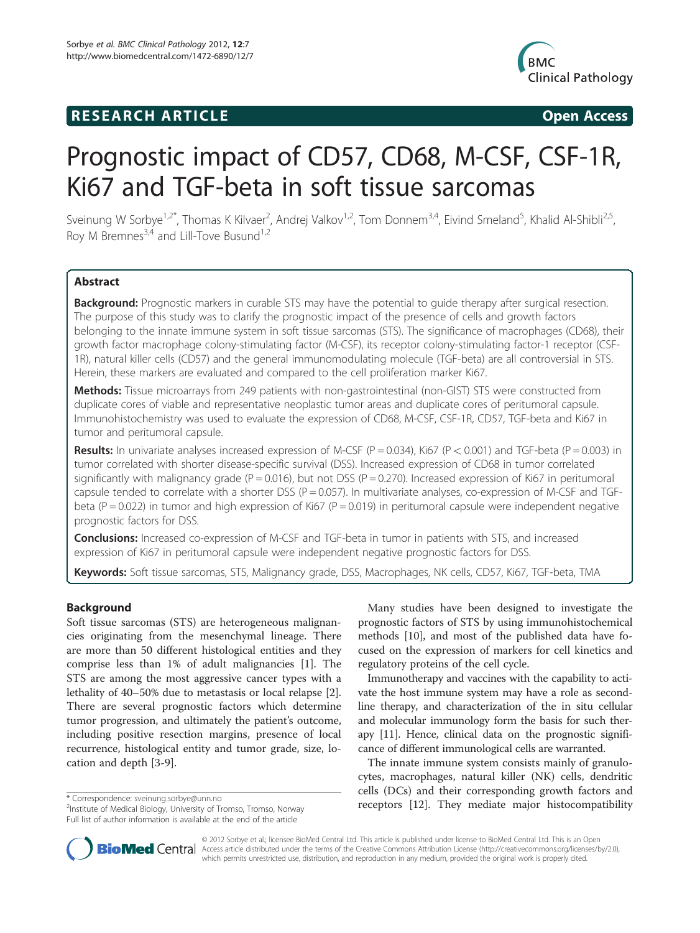# **RESEARCH ARTICLE Example 2018 12:00 Open Access**



# Prognostic impact of CD57, CD68, M-CSF, CSF-1R, Ki67 and TGF-beta in soft tissue sarcomas

Sveinung W Sorbye<sup>1,2\*</sup>, Thomas K Kilvaer<sup>2</sup>, Andrej Valkov<sup>1,2</sup>, Tom Donnem<sup>3,4</sup>, Eivind Smeland<sup>5</sup>, Khalid Al-Shibli<sup>2,5</sup>, Roy M Bremnes<sup>3,4</sup> and Lill-Tove Busund<sup>1,2</sup>

# Abstract

Background: Prognostic markers in curable STS may have the potential to quide therapy after surgical resection. The purpose of this study was to clarify the prognostic impact of the presence of cells and growth factors belonging to the innate immune system in soft tissue sarcomas (STS). The significance of macrophages (CD68), their growth factor macrophage colony-stimulating factor (M-CSF), its receptor colony-stimulating factor-1 receptor (CSF-1R), natural killer cells (CD57) and the general immunomodulating molecule (TGF-beta) are all controversial in STS. Herein, these markers are evaluated and compared to the cell proliferation marker Ki67.

Methods: Tissue microarrays from 249 patients with non-gastrointestinal (non-GIST) STS were constructed from duplicate cores of viable and representative neoplastic tumor areas and duplicate cores of peritumoral capsule. Immunohistochemistry was used to evaluate the expression of CD68, M-CSF, CSF-1R, CD57, TGF-beta and Ki67 in tumor and peritumoral capsule.

**Results:** In univariate analyses increased expression of M-CSF ( $P = 0.034$ ), Ki67 ( $P < 0.001$ ) and TGF-beta ( $P = 0.003$ ) in tumor correlated with shorter disease-specific survival (DSS). Increased expression of CD68 in tumor correlated significantly with malignancy grade ( $P = 0.016$ ), but not DSS ( $P = 0.270$ ). Increased expression of Ki67 in peritumoral capsule tended to correlate with a shorter DSS ( $P = 0.057$ ). In multivariate analyses, co-expression of M-CSF and TGFbeta ( $P = 0.022$ ) in tumor and high expression of Ki67 ( $P = 0.019$ ) in peritumoral capsule were independent negative prognostic factors for DSS.

**Conclusions:** Increased co-expression of M-CSF and TGF-beta in tumor in patients with STS, and increased expression of Ki67 in peritumoral capsule were independent negative prognostic factors for DSS.

Keywords: Soft tissue sarcomas, STS, Malignancy grade, DSS, Macrophages, NK cells, CD57, Ki67, TGF-beta, TMA

#### Background

Soft tissue sarcomas (STS) are heterogeneous malignancies originating from the mesenchymal lineage. There are more than 50 different histological entities and they comprise less than 1% of adult malignancies [\[1\]](#page-9-0). The STS are among the most aggressive cancer types with a lethality of 40–50% due to metastasis or local relapse [\[2](#page-9-0)]. There are several prognostic factors which determine tumor progression, and ultimately the patient's outcome, including positive resection margins, presence of local recurrence, histological entity and tumor grade, size, location and depth [[3-9](#page-9-0)].

Many studies have been designed to investigate the prognostic factors of STS by using immunohistochemical methods [\[10\]](#page-9-0), and most of the published data have focused on the expression of markers for cell kinetics and regulatory proteins of the cell cycle.

Immunotherapy and vaccines with the capability to activate the host immune system may have a role as secondline therapy, and characterization of the in situ cellular and molecular immunology form the basis for such therapy [\[11\]](#page-9-0). Hence, clinical data on the prognostic significance of different immunological cells are warranted.

The innate immune system consists mainly of granulocytes, macrophages, natural killer (NK) cells, dendritic cells (DCs) and their corresponding growth factors and \* Correspondence: [sveinung.sorbye@unn.no](mailto:sveinung.sorbye@unn.no)<br>
<sup>2</sup>Institute of Medical Biology University of Tromso Tromso Nonyay **Preceptors** [\[12](#page-9-0)]. They mediate major histocompatibility



© 2012 Sorbye et al.; licensee BioMed Central Ltd. This article is published under license to BioMed Central Ltd. This is an Open **Bio Med Centra** Access article distributed under the terms of the Creative Commons Attribution License ([http://creativecommons.org/licenses/by/2.0\)](http://creativecommons.org/licenses/by/2.0), which permits unrestricted use, distribution, and reproduction in any medium, provided the original work is properly cited.

<sup>&</sup>lt;sup>2</sup>Institute of Medical Biology, University of Tromso, Tromso, Norway Full list of author information is available at the end of the article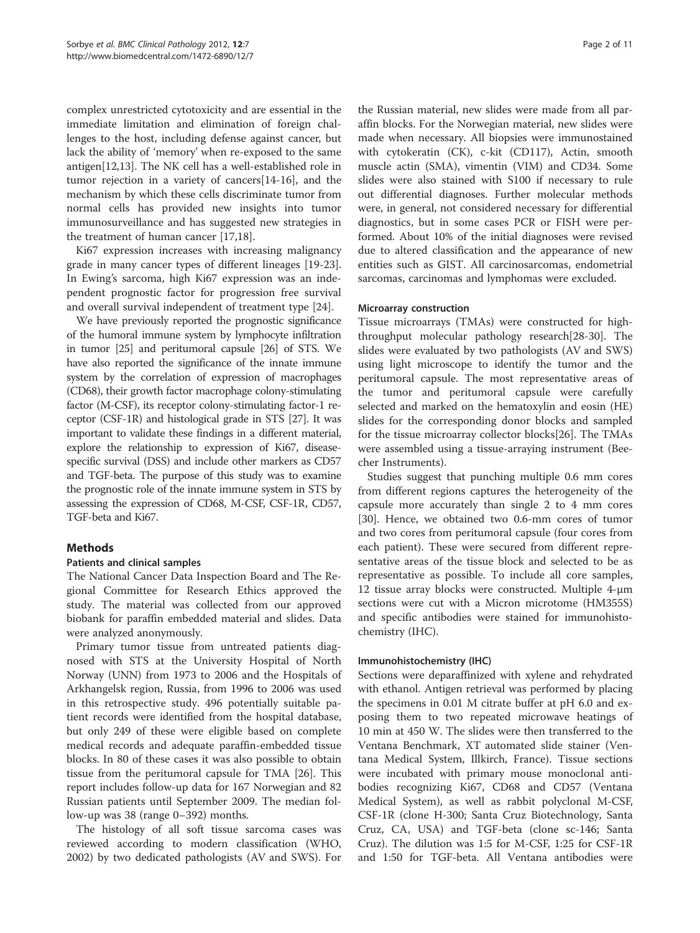complex unrestricted cytotoxicity and are essential in the immediate limitation and elimination of foreign challenges to the host, including defense against cancer, but lack the ability of 'memory' when re-exposed to the same antigen[[12](#page-9-0),[13](#page-9-0)]. The NK cell has a well-established role in tumor rejection in a variety of cancers[\[14](#page-9-0)-[16](#page-10-0)], and the mechanism by which these cells discriminate tumor from normal cells has provided new insights into tumor immunosurveillance and has suggested new strategies in the treatment of human cancer [\[17,18\]](#page-10-0).

Ki67 expression increases with increasing malignancy grade in many cancer types of different lineages [\[19-23](#page-10-0)]. In Ewing's sarcoma, high Ki67 expression was an independent prognostic factor for progression free survival and overall survival independent of treatment type [\[24\]](#page-10-0).

We have previously reported the prognostic significance of the humoral immune system by lymphocyte infiltration in tumor [\[25\]](#page-10-0) and peritumoral capsule [[26\]](#page-10-0) of STS. We have also reported the significance of the innate immune system by the correlation of expression of macrophages (CD68), their growth factor macrophage colony-stimulating factor (M-CSF), its receptor colony-stimulating factor-1 receptor (CSF-1R) and histological grade in STS [\[27\]](#page-10-0). It was important to validate these findings in a different material, explore the relationship to expression of Ki67, diseasespecific survival (DSS) and include other markers as CD57 and TGF-beta. The purpose of this study was to examine the prognostic role of the innate immune system in STS by assessing the expression of CD68, M-CSF, CSF-1R, CD57, TGF-beta and Ki67.

# Methods

# Patients and clinical samples

The National Cancer Data Inspection Board and The Regional Committee for Research Ethics approved the study. The material was collected from our approved biobank for paraffin embedded material and slides. Data were analyzed anonymously.

Primary tumor tissue from untreated patients diagnosed with STS at the University Hospital of North Norway (UNN) from 1973 to 2006 and the Hospitals of Arkhangelsk region, Russia, from 1996 to 2006 was used in this retrospective study. 496 potentially suitable patient records were identified from the hospital database, but only 249 of these were eligible based on complete medical records and adequate paraffin-embedded tissue blocks. In 80 of these cases it was also possible to obtain tissue from the peritumoral capsule for TMA [[26\]](#page-10-0). This report includes follow-up data for 167 Norwegian and 82 Russian patients until September 2009. The median follow-up was 38 (range 0–392) months.

The histology of all soft tissue sarcoma cases was reviewed according to modern classification (WHO, 2002) by two dedicated pathologists (AV and SWS). For

the Russian material, new slides were made from all paraffin blocks. For the Norwegian material, new slides were made when necessary. All biopsies were immunostained with cytokeratin (CK), c-kit (CD117), Actin, smooth muscle actin (SMA), vimentin (VIM) and CD34. Some slides were also stained with S100 if necessary to rule out differential diagnoses. Further molecular methods were, in general, not considered necessary for differential diagnostics, but in some cases PCR or FISH were performed. About 10% of the initial diagnoses were revised due to altered classification and the appearance of new entities such as GIST. All carcinosarcomas, endometrial sarcomas, carcinomas and lymphomas were excluded.

#### Microarray construction

Tissue microarrays (TMAs) were constructed for highthroughput molecular pathology research[[28](#page-10-0)-[30\]](#page-10-0). The slides were evaluated by two pathologists (AV and SWS) using light microscope to identify the tumor and the peritumoral capsule. The most representative areas of the tumor and peritumoral capsule were carefully selected and marked on the hematoxylin and eosin (HE) slides for the corresponding donor blocks and sampled for the tissue microarray collector blocks[[26](#page-10-0)]. The TMAs were assembled using a tissue-arraying instrument (Beecher Instruments).

Studies suggest that punching multiple 0.6 mm cores from different regions captures the heterogeneity of the capsule more accurately than single 2 to 4 mm cores [[30\]](#page-10-0). Hence, we obtained two 0.6-mm cores of tumor and two cores from peritumoral capsule (four cores from each patient). These were secured from different representative areas of the tissue block and selected to be as representative as possible. To include all core samples, 12 tissue array blocks were constructed. Multiple 4-μm sections were cut with a Micron microtome (HM355S) and specific antibodies were stained for immunohistochemistry (IHC).

# Immunohistochemistry (IHC)

Sections were deparaffinized with xylene and rehydrated with ethanol. Antigen retrieval was performed by placing the specimens in 0.01 M citrate buffer at pH 6.0 and exposing them to two repeated microwave heatings of 10 min at 450 W. The slides were then transferred to the Ventana Benchmark, XT automated slide stainer (Ventana Medical System, Illkirch, France). Tissue sections were incubated with primary mouse monoclonal antibodies recognizing Ki67, CD68 and CD57 (Ventana Medical System), as well as rabbit polyclonal M-CSF, CSF-1R (clone H-300; Santa Cruz Biotechnology, Santa Cruz, CA, USA) and TGF-beta (clone sc-146; Santa Cruz). The dilution was 1:5 for M-CSF, 1:25 for CSF-1R and 1:50 for TGF-beta. All Ventana antibodies were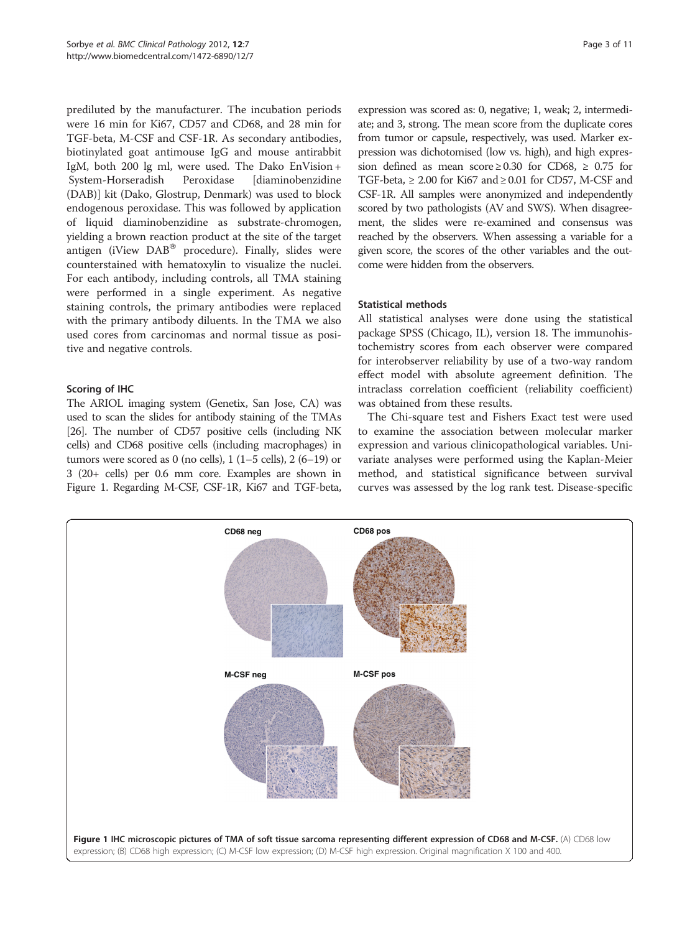prediluted by the manufacturer. The incubation periods were 16 min for Ki67, CD57 and CD68, and 28 min for TGF-beta, M-CSF and CSF-1R. As secondary antibodies, biotinylated goat antimouse IgG and mouse antirabbit IgM, both 200 lg ml, were used. The Dako EnVision + System-Horseradish Peroxidase [diaminobenzidine (DAB)] kit (Dako, Glostrup, Denmark) was used to block endogenous peroxidase. This was followed by application of liquid diaminobenzidine as substrate-chromogen, yielding a brown reaction product at the site of the target antigen (iView  $DAB^{(8)}$  procedure). Finally, slides were counterstained with hematoxylin to visualize the nuclei. For each antibody, including controls, all TMA staining were performed in a single experiment. As negative staining controls, the primary antibodies were replaced with the primary antibody diluents. In the TMA we also used cores from carcinomas and normal tissue as positive and negative controls.

# Scoring of IHC

The ARIOL imaging system (Genetix, San Jose, CA) was used to scan the slides for antibody staining of the TMAs [[26](#page-10-0)]. The number of CD57 positive cells (including NK cells) and CD68 positive cells (including macrophages) in tumors were scored as 0 (no cells),  $1(1-5$  cells),  $2(6-19)$  or 3 (20+ cells) per 0.6 mm core. Examples are shown in Figure 1. Regarding M-CSF, CSF-1R, Ki67 and TGF-beta, expression was scored as: 0, negative; 1, weak; 2, intermediate; and 3, strong. The mean score from the duplicate cores from tumor or capsule, respectively, was used. Marker expression was dichotomised (low vs. high), and high expression defined as mean score  $\geq 0.30$  for CD68,  $\geq 0.75$  for TGF-beta,  $\geq 2.00$  for Ki67 and  $\geq 0.01$  for CD57, M-CSF and CSF-1R. All samples were anonymized and independently scored by two pathologists (AV and SWS). When disagreement, the slides were re-examined and consensus was reached by the observers. When assessing a variable for a given score, the scores of the other variables and the outcome were hidden from the observers.

# Statistical methods

All statistical analyses were done using the statistical package SPSS (Chicago, IL), version 18. The immunohistochemistry scores from each observer were compared for interobserver reliability by use of a two-way random effect model with absolute agreement definition. The intraclass correlation coefficient (reliability coefficient) was obtained from these results.

The Chi-square test and Fishers Exact test were used to examine the association between molecular marker expression and various clinicopathological variables. Univariate analyses were performed using the Kaplan-Meier method, and statistical significance between survival curves was assessed by the log rank test. Disease-specific

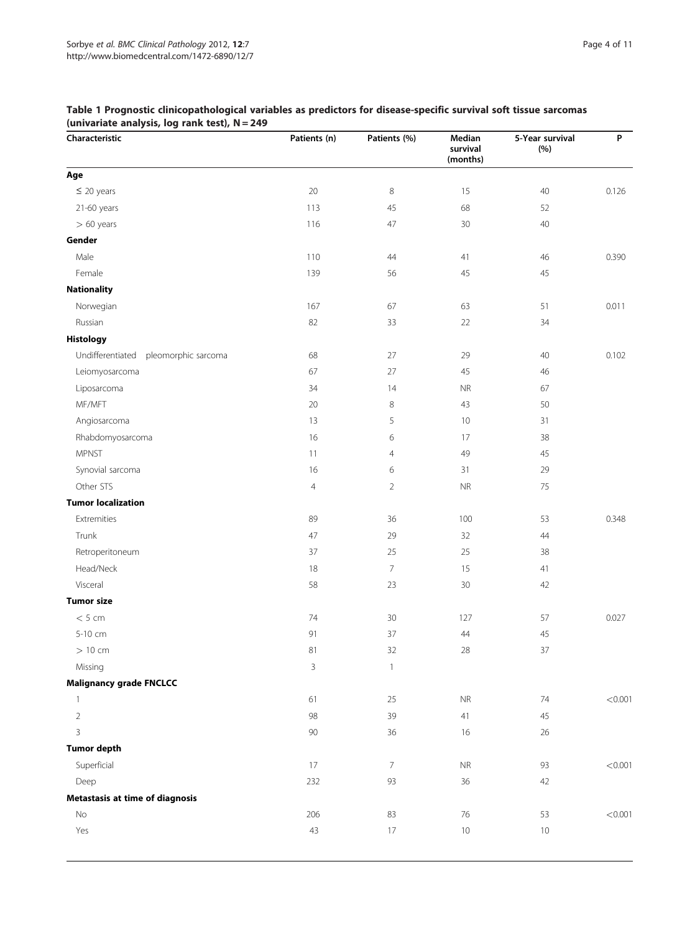| Characteristic                          | Patients (n)   | Patients (%)   | Median<br>survival<br>(months) | 5-Year survival<br>(%) | P       |
|-----------------------------------------|----------------|----------------|--------------------------------|------------------------|---------|
| Age                                     |                |                |                                |                        |         |
| $\leq$ 20 years                         | 20             | $\,8\,$        | 15                             | 40                     | 0.126   |
| 21-60 years                             | 113            | 45             | 68                             | 52                     |         |
| $> 60$ years                            | 116            | 47             | 30                             | 40                     |         |
| Gender                                  |                |                |                                |                        |         |
| Male                                    | 110            | 44             | 41                             | 46                     | 0.390   |
| Female                                  | 139            | 56             | 45                             | $45\,$                 |         |
| <b>Nationality</b>                      |                |                |                                |                        |         |
| Norwegian                               | 167            | 67             | 63                             | 51                     | 0.011   |
| Russian                                 | 82             | 33             | $22\,$                         | 34                     |         |
| <b>Histology</b>                        |                |                |                                |                        |         |
| Undifferentiated<br>pleomorphic sarcoma | 68             | 27             | 29                             | 40                     | 0.102   |
| Leiomyosarcoma                          | 67             | 27             | 45                             | 46                     |         |
| Liposarcoma                             | 34             | 14             | ${\sf NR}$                     | 67                     |         |
| MF/MFT                                  | 20             | $\,8\,$        | 43                             | 50                     |         |
| Angiosarcoma                            | 13             | 5              | 10                             | 31                     |         |
| Rhabdomyosarcoma                        | 16             | 6              | 17                             | 38                     |         |
| <b>MPNST</b>                            | 11             | $\overline{4}$ | 49                             | 45                     |         |
| Synovial sarcoma                        | 16             | 6              | 31                             | 29                     |         |
| Other STS                               | $\overline{4}$ | $\overline{2}$ | <b>NR</b>                      | 75                     |         |
| <b>Tumor localization</b>               |                |                |                                |                        |         |
| Extremities                             | 89             | 36             | 100                            | 53                     | 0.348   |
| Trunk                                   | 47             | 29             | 32                             | 44                     |         |
| Retroperitoneum                         | 37             | 25             | 25                             | 38                     |         |
| Head/Neck                               | 18             | $\overline{7}$ | 15                             | 41                     |         |
| Visceral                                | 58             | 23             | $30\,$                         | 42                     |         |
| <b>Tumor size</b>                       |                |                |                                |                        |         |
| < 5 cm                                  | 74             | 30             | 127                            | 57                     | 0.027   |
| 5-10 cm                                 | 91             | 37             | $44$                           | 45                     |         |
| $>10$ cm                                | 81             | 32             | 28                             | 37                     |         |
| Missing                                 | 3              | $\mathbf{1}$   |                                |                        |         |
| <b>Malignancy grade FNCLCC</b>          |                |                |                                |                        |         |
| $\mathbf{1}$                            | 61             | 25             | ${\sf NR}$                     | 74                     | < 0.001 |
| $\overline{2}$                          | 98             | 39             | 41                             | 45                     |         |
| 3                                       | 90             | 36             | 16                             | $26\,$                 |         |
| <b>Tumor depth</b>                      |                |                |                                |                        |         |
| Superficial                             | 17             | $\overline{7}$ | ${\sf NR}$                     | 93                     | < 0.001 |
| Deep                                    | 232            | 93             | 36                             | 42                     |         |
| Metastasis at time of diagnosis         |                |                |                                |                        |         |
| No                                      | 206            | 83             | 76                             | 53                     | < 0.001 |
| Yes                                     | 43             | 17             | 10                             | 10                     |         |
|                                         |                |                |                                |                        |         |

### <span id="page-3-0"></span>Table 1 Prognostic clinicopathological variables as predictors for disease-specific survival soft tissue sarcomas (univariate analysis, log rank test), N = 249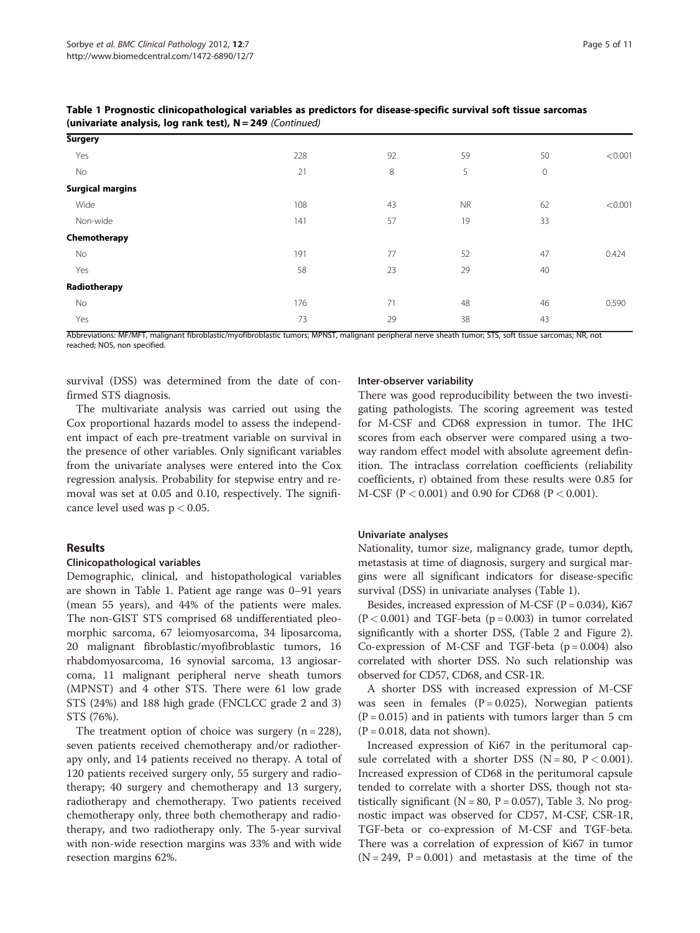| Table 1 Prognostic clinicopathological variables as predictors for disease-specific survival soft tissue sarcomas |  |  |
|-------------------------------------------------------------------------------------------------------------------|--|--|
| (univariate analysis, log rank test), $N = 249$ (Continued)                                                       |  |  |

| <b>Surgery</b>          |     |    |           |         |         |
|-------------------------|-----|----|-----------|---------|---------|
| Yes                     | 228 | 92 | 59        | 50      | < 0.001 |
| No                      | 21  | 8  | 5         | $\circ$ |         |
| <b>Surgical margins</b> |     |    |           |         |         |
| Wide                    | 108 | 43 | <b>NR</b> | 62      | < 0.001 |
| Non-wide                | 141 | 57 | 19        | 33      |         |
| Chemotherapy            |     |    |           |         |         |
| No                      | 191 | 77 | 52        | 47      | 0.424   |
| Yes                     | 58  | 23 | 29        | 40      |         |
| Radiotherapy            |     |    |           |         |         |
| No                      | 176 | 71 | 48        | 46      | 0.590   |
| Yes                     | 73  | 29 | 38        | 43      |         |
|                         |     |    |           |         |         |

Abbreviations: MF/MFT, malignant fibroblastic/myofibroblastic tumors; MPNST, malignant peripheral nerve sheath tumor; STS, soft tissue sarcomas; NR, not reached; NOS, non specified.

survival (DSS) was determined from the date of confirmed STS diagnosis.

The multivariate analysis was carried out using the Cox proportional hazards model to assess the independent impact of each pre-treatment variable on survival in the presence of other variables. Only significant variables from the univariate analyses were entered into the Cox regression analysis. Probability for stepwise entry and removal was set at 0.05 and 0.10, respectively. The significance level used was p < 0.05.

#### Results

#### Clinicopathological variables

Demographic, clinical, and histopathological variables are shown in Table [1](#page-3-0). Patient age range was 0–91 years (mean 55 years), and 44% of the patients were males. The non-GIST STS comprised 68 undifferentiated pleomorphic sarcoma, 67 leiomyosarcoma, 34 liposarcoma, 20 malignant fibroblastic/myofibroblastic tumors, 16 rhabdomyosarcoma, 16 synovial sarcoma, 13 angiosarcoma, 11 malignant peripheral nerve sheath tumors (MPNST) and 4 other STS. There were 61 low grade STS (24%) and 188 high grade (FNCLCC grade 2 and 3) STS (76%).

The treatment option of choice was surgery  $(n = 228)$ , seven patients received chemotherapy and/or radiotherapy only, and 14 patients received no therapy. A total of 120 patients received surgery only, 55 surgery and radiotherapy; 40 surgery and chemotherapy and 13 surgery, radiotherapy and chemotherapy. Two patients received chemotherapy only, three both chemotherapy and radiotherapy, and two radiotherapy only. The 5-year survival with non-wide resection margins was 33% and with wide resection margins 62%.

#### Inter-observer variability

There was good reproducibility between the two investigating pathologists. The scoring agreement was tested for M-CSF and CD68 expression in tumor. The IHC scores from each observer were compared using a twoway random effect model with absolute agreement definition. The intraclass correlation coefficients (reliability coefficients, r) obtained from these results were 0.85 for  $M$ -CSF (P < 0.001) and 0.90 for CD68 (P < 0.001).

#### Univariate analyses

Nationality, tumor size, malignancy grade, tumor depth, metastasis at time of diagnosis, surgery and surgical margins were all significant indicators for disease-specific survival (DSS) in univariate analyses (Table [1](#page-3-0)).

Besides, increased expression of M-CSF  $(P = 0.034)$ , Ki67  $(P < 0.001)$  and TGF-beta ( $p = 0.003$ ) in tumor correlated significantly with a shorter DSS, (Table [2](#page-6-0) and Figure [2](#page-5-0)). Co-expression of M-CSF and TGF-beta  $(p = 0.004)$  also correlated with shorter DSS. No such relationship was observed for CD57, CD68, and CSR-1R.

A shorter DSS with increased expression of M-CSF was seen in females  $(P = 0.025)$ , Norwegian patients  $(P = 0.015)$  and in patients with tumors larger than 5 cm  $(P = 0.018$ , data not shown).

Increased expression of Ki67 in the peritumoral capsule correlated with a shorter DSS ( $N = 80$ ,  $P < 0.001$ ). Increased expression of CD68 in the peritumoral capsule tended to correlate with a shorter DSS, though not statistically significant ( $N = 80$ ,  $P = 0.057$ ), Table [3](#page-6-0). No prognostic impact was observed for CD57, M-CSF, CSR-1R, TGF-beta or co-expression of M-CSF and TGF-beta. There was a correlation of expression of Ki67 in tumor  $(N = 249, P = 0.001)$  and metastasis at the time of the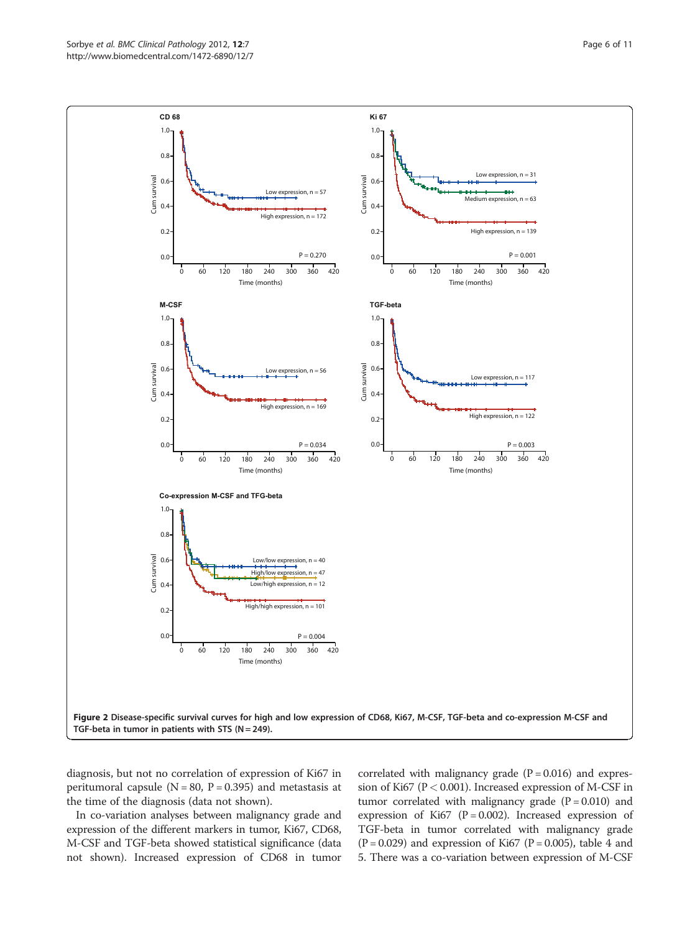<span id="page-5-0"></span>

diagnosis, but not no correlation of expression of Ki67 in peritumoral capsule ( $N = 80$ ,  $P = 0.395$ ) and metastasis at the time of the diagnosis (data not shown).

In co-variation analyses between malignancy grade and expression of the different markers in tumor, Ki67, CD68, M-CSF and TGF-beta showed statistical significance (data not shown). Increased expression of CD68 in tumor correlated with malignancy grade  $(P = 0.016)$  and expression of Ki67 (P< 0.001). Increased expression of M-CSF in tumor correlated with malignancy grade  $(P = 0.010)$  and expression of Ki67 ( $P = 0.002$ ). Increased expression of TGF-beta in tumor correlated with malignancy grade  $(P = 0.029)$  and expression of Ki67  $(P = 0.005)$ , table [4](#page-7-0) and [5.](#page-7-0) There was a co-variation between expression of M-CSF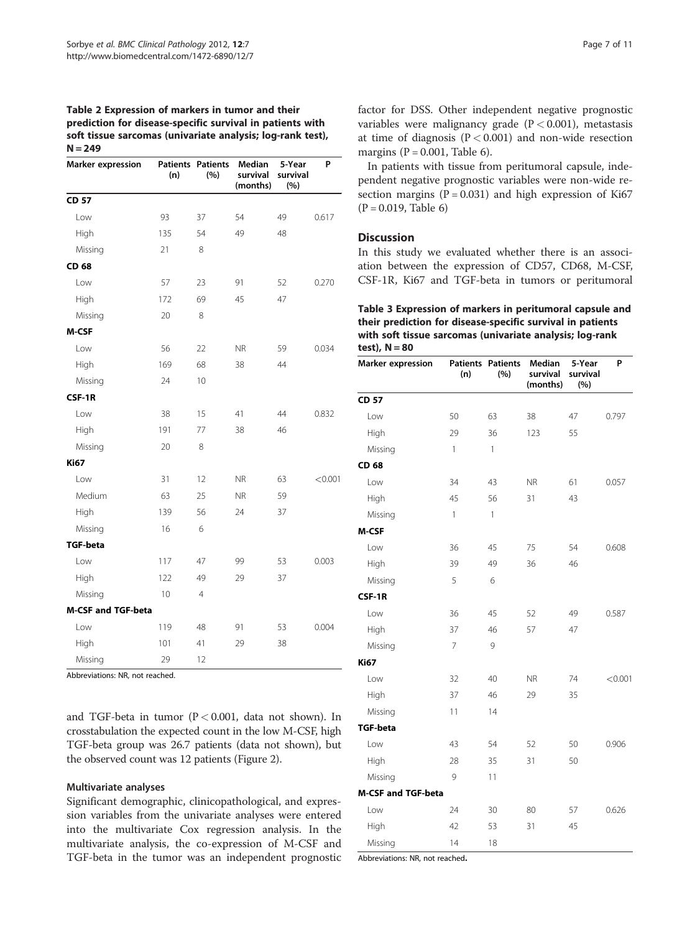<span id="page-6-0"></span>Table 2 Expression of markers in tumor and their prediction for disease-specific survival in patients with soft tissue sarcomas (univariate analysis; log-rank test),  $N = 249$ 

| <b>Marker expression</b>  | (n) | <b>Patients Patients</b><br>(%) | Median<br>survival<br>(months) | 5-Year<br>survival<br>(%) | P       |
|---------------------------|-----|---------------------------------|--------------------------------|---------------------------|---------|
| <b>CD 57</b>              |     |                                 |                                |                           |         |
| Low                       | 93  | 37                              | 54                             | 49                        | 0.617   |
| High                      | 135 | 54                              | 49                             | 48                        |         |
| Missing                   | 21  | 8                               |                                |                           |         |
| CD 68                     |     |                                 |                                |                           |         |
| Low                       | 57  | 23                              | 91                             | 52                        | 0.270   |
| High                      | 172 | 69                              | 45                             | 47                        |         |
| Missing                   | 20  | 8                               |                                |                           |         |
| M-CSF                     |     |                                 |                                |                           |         |
| Low                       | 56  | 22                              | <b>NR</b>                      | 59                        | 0.034   |
| High                      | 169 | 68                              | 38                             | 44                        |         |
| Missing                   | 24  | 10                              |                                |                           |         |
| CSF-1R                    |     |                                 |                                |                           |         |
| Low                       | 38  | 15                              | 41                             | 44                        | 0.832   |
| High                      | 191 | 77                              | 38                             | 46                        |         |
| Missing                   | 20  | 8                               |                                |                           |         |
| <b>Ki67</b>               |     |                                 |                                |                           |         |
| Low                       | 31  | 12                              | <b>NR</b>                      | 63                        | < 0.001 |
| Medium                    | 63  | 25                              | <b>NR</b>                      | 59                        |         |
| High                      | 139 | 56                              | 24                             | 37                        |         |
| Missing                   | 16  | 6                               |                                |                           |         |
| <b>TGF-beta</b>           |     |                                 |                                |                           |         |
| Low                       | 117 | 47                              | 99                             | 53                        | 0.003   |
| High                      | 122 | 49                              | 29                             | 37                        |         |
| Missing                   | 10  | 4                               |                                |                           |         |
| <b>M-CSF and TGF-beta</b> |     |                                 |                                |                           |         |
| Low                       | 119 | 48                              | 91                             | 53                        | 0.004   |
| High                      | 101 | 41                              | 29                             | 38                        |         |
| Missing                   | 29  | 12                              |                                |                           |         |

Abbreviations: NR, not reached.

and TGF-beta in tumor (P< 0.001, data not shown). In crosstabulation the expected count in the low M-CSF, high TGF-beta group was 26.7 patients (data not shown), but the observed count was 12 patients (Figure [2\)](#page-5-0).

#### Multivariate analyses

Significant demographic, clinicopathological, and expression variables from the univariate analyses were entered into the multivariate Cox regression analysis. In the multivariate analysis, the co-expression of M-CSF and TGF-beta in the tumor was an independent prognostic factor for DSS. Other independent negative prognostic variables were malignancy grade  $(P < 0.001)$ , metastasis at time of diagnosis  $(P < 0.001)$  and non-wide resection margins ( $P = 0.001$ , Table [6\)](#page-8-0).

In patients with tissue from peritumoral capsule, independent negative prognostic variables were non-wide resection margins ( $P = 0.031$ ) and high expression of Ki67  $(P = 0.019,$  Table [6](#page-8-0))

# **Discussion**

In this study we evaluated whether there is an association between the expression of CD57, CD68, M-CSF, CSF-1R, Ki67 and TGF-beta in tumors or peritumoral

Table 3 Expression of markers in peritumoral capsule and their prediction for disease-specific survival in patients with soft tissue sarcomas (univariate analysis; log-rank test),  $N = 80$ 

| <b>Marker expression</b>  | (n)            | <b>Patients Patients</b><br>(%) | Median<br>survival<br>(months) | 5-Year<br>survival<br>(%) | P       |
|---------------------------|----------------|---------------------------------|--------------------------------|---------------------------|---------|
| <b>CD 57</b>              |                |                                 |                                |                           |         |
| Low                       | 50             | 63                              | 38                             | 47                        | 0.797   |
| High                      | 29             | 36                              | 123                            | 55                        |         |
| Missing                   | 1              | $\mathbf{1}$                    |                                |                           |         |
| CD 68                     |                |                                 |                                |                           |         |
| Low                       | 34             | 43                              | <b>NR</b>                      | 61                        | 0.057   |
| High                      | 45             | 56                              | 31                             | 43                        |         |
| Missing                   | 1              | 1                               |                                |                           |         |
| M-CSF                     |                |                                 |                                |                           |         |
| Low                       | 36             | 45                              | 75                             | 54                        | 0.608   |
| High                      | 39             | 49                              | 36                             | 46                        |         |
| Missing                   | 5              | 6                               |                                |                           |         |
| CSF-1R                    |                |                                 |                                |                           |         |
| Low                       | 36             | 45                              | 52                             | 49                        | 0.587   |
| High                      | 37             | 46                              | 57                             | 47                        |         |
| Missing                   | $\overline{7}$ | 9                               |                                |                           |         |
| <b>Ki67</b>               |                |                                 |                                |                           |         |
| Low                       | 32             | 40                              | <b>NR</b>                      | 74                        | < 0.001 |
| High                      | 37             | 46                              | 29                             | 35                        |         |
| Missing                   | 11             | 14                              |                                |                           |         |
| <b>TGF-beta</b>           |                |                                 |                                |                           |         |
| Low                       | 43             | 54                              | 52                             | 50                        | 0.906   |
| High                      | 28             | 35                              | 31                             | 50                        |         |
| Missing                   | 9              | 11                              |                                |                           |         |
| <b>M-CSF and TGF-beta</b> |                |                                 |                                |                           |         |
| Low                       | 24             | 30                              | 80                             | 57                        | 0.626   |
| High                      | 42             | 53                              | 31                             | 45                        |         |
| Missing                   | 14             | 18                              |                                |                           |         |

Abbreviations: NR, not reached.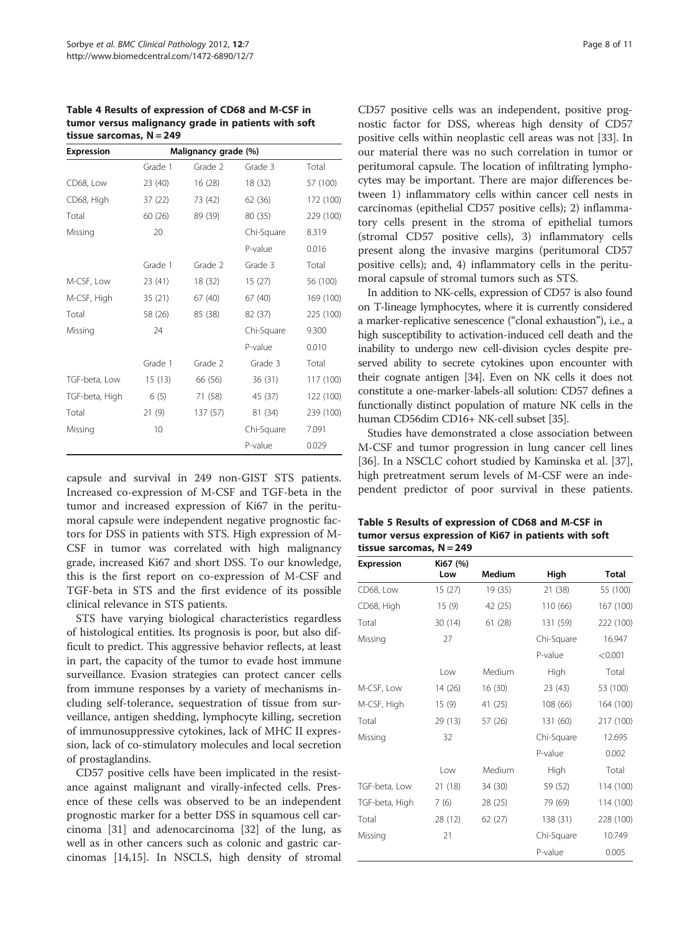<span id="page-7-0"></span>Table 4 Results of expression of CD68 and M-CSF in tumor versus malignancy grade in patients with soft tissue sarcomas,  $N = 249$ 

| <b>Expression</b> |         | Malignancy grade (%) |            |           |
|-------------------|---------|----------------------|------------|-----------|
|                   | Grade 1 | Grade 2              | Grade 3    | Total     |
| CD68, Low         | 23 (40) | 16(28)               | 18 (32)    | 57 (100)  |
| CD68, High        | 37(22)  | 73 (42)              | 62 (36)    | 172 (100) |
| Total             | 60 (26) | 89 (39)              | 80 (35)    | 229 (100) |
| Missing           | 20      |                      | Chi-Square | 8.319     |
|                   |         |                      | P-value    | 0.016     |
|                   | Grade 1 | Grade 2              | Grade 3    | Total     |
| M-CSF, Low        | 23 (41) | 18 (32)              | 15(27)     | 56 (100)  |
| M-CSF, High       | 35(21)  | 67 (40)              | 67(40)     | 169 (100) |
| Total             | 58 (26) | 85 (38)              | 82 (37)    | 225 (100) |
| Missing           | 24      |                      | Chi-Square | 9.300     |
|                   |         |                      | P-value    | 0.010     |
|                   | Grade 1 | Grade 2              | Grade 3    | Total     |
| TGF-beta, Low     | 15(13)  | 66 (56)              | 36(31)     | 117 (100) |
| TGF-beta, High    | 6(5)    | 71 (58)              | 45 (37)    | 122 (100) |
| Total             | 21(9)   | 137 (57)             | 81 (34)    | 239 (100) |
| Missing           | 10      |                      | Chi-Square | 7.091     |
|                   |         |                      | P-value    | 0.029     |

capsule and survival in 249 non-GIST STS patients. Increased co-expression of M-CSF and TGF-beta in the tumor and increased expression of Ki67 in the peritumoral capsule were independent negative prognostic factors for DSS in patients with STS. High expression of M-CSF in tumor was correlated with high malignancy grade, increased Ki67 and short DSS. To our knowledge, this is the first report on co-expression of M-CSF and TGF-beta in STS and the first evidence of its possible clinical relevance in STS patients.

STS have varying biological characteristics regardless of histological entities. Its prognosis is poor, but also difficult to predict. This aggressive behavior reflects, at least in part, the capacity of the tumor to evade host immune surveillance. Evasion strategies can protect cancer cells from immune responses by a variety of mechanisms including self-tolerance, sequestration of tissue from surveillance, antigen shedding, lymphocyte killing, secretion of immunosuppressive cytokines, lack of MHC II expression, lack of co-stimulatory molecules and local secretion of prostaglandins.

CD57 positive cells have been implicated in the resistance against malignant and virally-infected cells. Presence of these cells was observed to be an independent prognostic marker for a better DSS in squamous cell carcinoma [[31\]](#page-10-0) and adenocarcinoma [[32\]](#page-10-0) of the lung, as well as in other cancers such as colonic and gastric carcinomas [[14,15\]](#page-9-0). In NSCLS, high density of stromal CD57 positive cells was an independent, positive prognostic factor for DSS, whereas high density of CD57 positive cells within neoplastic cell areas was not [[33](#page-10-0)]. In our material there was no such correlation in tumor or peritumoral capsule. The location of infiltrating lymphocytes may be important. There are major differences between 1) inflammatory cells within cancer cell nests in carcinomas (epithelial CD57 positive cells); 2) inflammatory cells present in the stroma of epithelial tumors (stromal CD57 positive cells), 3) inflammatory cells present along the invasive margins (peritumoral CD57 positive cells); and, 4) inflammatory cells in the peritumoral capsule of stromal tumors such as STS.

In addition to NK-cells, expression of CD57 is also found on T-lineage lymphocytes, where it is currently considered a marker-replicative senescence ("clonal exhaustion"), i.e., a high susceptibility to activation-induced cell death and the inability to undergo new cell-division cycles despite preserved ability to secrete cytokines upon encounter with their cognate antigen [\[34\]](#page-10-0). Even on NK cells it does not constitute a one-marker-labels-all solution: CD57 defines a functionally distinct population of mature NK cells in the human CD56dim CD16+ NK-cell subset [[35](#page-10-0)].

Studies have demonstrated a close association between M-CSF and tumor progression in lung cancer cell lines [[36\]](#page-10-0). In a NSCLC cohort studied by Kaminska et al. [[37](#page-10-0)], high pretreatment serum levels of M-CSF were an independent predictor of poor survival in these patients.

Table 5 Results of expression of CD68 and M-CSF in tumor versus expression of Ki67 in patients with soft tissue sarcomas, N = 249

| Expression     | Ki67 (%) |               |            |              |
|----------------|----------|---------------|------------|--------------|
|                | Low      | <b>Medium</b> | High       | <b>Total</b> |
| CD68, Low      | 15(27)   | 19 (35)       | 21 (38)    | 55 (100)     |
| CD68, High     | 15(9)    | 42 (25)       | 110 (66)   | 167 (100)    |
| Total          | 30(14)   | 61(28)        | 131 (59)   | 222 (100)    |
| Missing        | 27       |               | Chi-Square | 16.947       |
|                |          |               | P-value    | < 0.001      |
|                | l ow     | Medium        | High       | Total        |
| M-CSF, Low     | 14 (26)  | 16(30)        | 23 (43)    | 53 (100)     |
| M-CSF, High    | 15(9)    | 41 (25)       | 108 (66)   | 164 (100)    |
| Total          | 29 (13)  | 57 (26)       | 131 (60)   | 217 (100)    |
| Missing        | 32       |               | Chi-Square | 12.695       |
|                |          |               | P-value    | 0.002        |
|                | Low      | Medium        | High       | Total        |
| TGF-beta, Low  | 21 (18)  | 34 (30)       | 59 (52)    | 114 (100)    |
| TGF-beta, High | 7 (6)    | 28 (25)       | 79 (69)    | 114 (100)    |
| Total          | 28 (12)  | 62 (27)       | 138 (31)   | 228 (100)    |
| Missing        | 21       |               | Chi-Square | 10.749       |
|                |          |               | P-value    | 0.005        |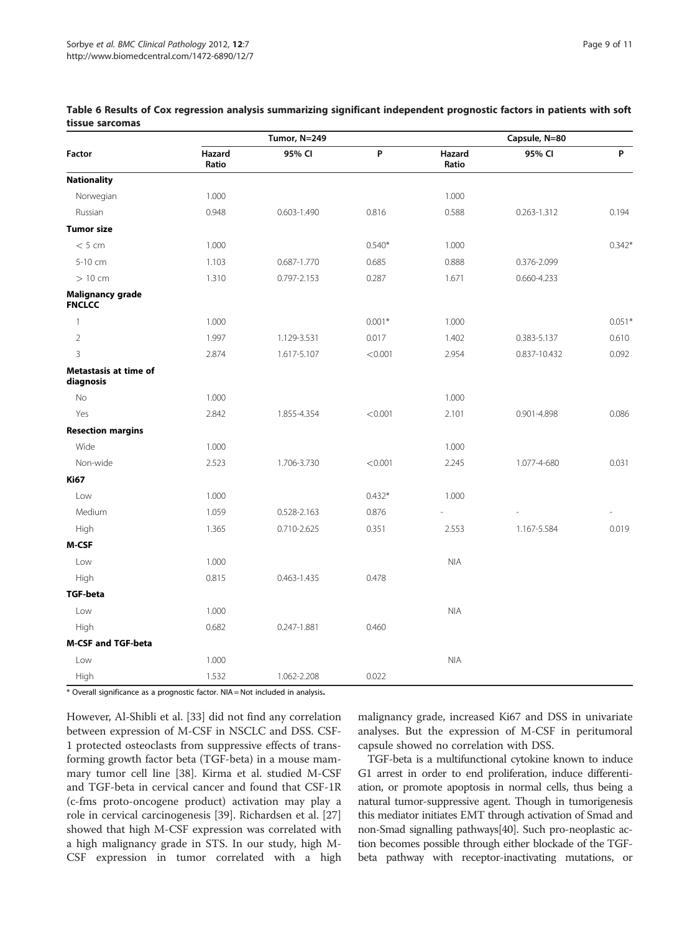|                                           |                 | Tumor, N=249    |          | Capsule, N=80   |              |             |
|-------------------------------------------|-----------------|-----------------|----------|-----------------|--------------|-------------|
| <b>Factor</b>                             | Hazard<br>Ratio | 95% CI          | P        | Hazard<br>Ratio | 95% CI       | $\mathsf P$ |
| <b>Nationality</b>                        |                 |                 |          |                 |              |             |
| Norwegian                                 | 1.000           |                 |          | 1.000           |              |             |
| Russian                                   | 0.948           | $0.603 - 1.490$ | 0.816    | 0.588           | 0.263-1.312  | 0.194       |
| <b>Tumor size</b>                         |                 |                 |          |                 |              |             |
| < 5 cm                                    | 1.000           |                 | $0.540*$ | 1.000           |              | $0.342*$    |
| 5-10 cm                                   | 1.103           | 0.687-1.770     | 0.685    | 0.888           | 0.376-2.099  |             |
| $>10$ cm                                  | 1.310           | 0.797-2.153     | 0.287    | 1.671           | 0.660-4.233  |             |
| Malignancy grade<br><b>FNCLCC</b>         |                 |                 |          |                 |              |             |
| $\mathbf{1}$                              | 1.000           |                 | $0.001*$ | 1.000           |              | $0.051*$    |
| $\sqrt{2}$                                | 1.997           | 1.129-3.531     | 0.017    | 1.402           | 0.383-5.137  | 0.610       |
| $\overline{3}$                            | 2.874           | 1.617-5.107     | < 0.001  | 2.954           | 0.837-10.432 | 0.092       |
| <b>Metastasis at time of</b><br>diagnosis |                 |                 |          |                 |              |             |
| <b>No</b>                                 | 1.000           |                 |          | 1.000           |              |             |
| Yes                                       | 2.842           | 1.855-4.354     | < 0.001  | 2.101           | 0.901-4.898  | 0.086       |
| <b>Resection margins</b>                  |                 |                 |          |                 |              |             |
| Wide                                      | 1.000           |                 |          | 1.000           |              |             |
| Non-wide                                  | 2.523           | 1.706-3.730     | < 0.001  | 2.245           | 1.077-4-680  | 0.031       |
| <b>Ki67</b>                               |                 |                 |          |                 |              |             |
| Low                                       | 1.000           |                 | $0.432*$ | 1.000           |              |             |
| Medium                                    | 1.059           | 0.528-2.163     | 0.876    |                 |              |             |
| High                                      | 1.365           | 0.710-2.625     | 0.351    | 2.553           | 1.167-5.584  | 0.019       |
| <b>M-CSF</b>                              |                 |                 |          |                 |              |             |
| Low                                       | 1.000           |                 |          | <b>NIA</b>      |              |             |
| High                                      | 0.815           | 0.463-1.435     | 0.478    |                 |              |             |
| <b>TGF-beta</b>                           |                 |                 |          |                 |              |             |
| Low                                       | 1.000           |                 |          | <b>NIA</b>      |              |             |
| High                                      | 0.682           | 0.247-1.881     | 0.460    |                 |              |             |
| <b>M-CSF and TGF-beta</b>                 |                 |                 |          |                 |              |             |
| Low                                       | 1.000           |                 |          | $\mathsf{NIA}$  |              |             |
| High                                      | 1.532           | 1.062-2.208     | 0.022    |                 |              |             |

<span id="page-8-0"></span>Table 6 Results of Cox regression analysis summarizing significant independent prognostic factors in patients with soft tissue sarcomas

\* Overall significance as a prognostic factor. NIA = Not included in analysis.

However, Al-Shibli et al. [[33\]](#page-10-0) did not find any correlation between expression of M-CSF in NSCLC and DSS. CSF-1 protected osteoclasts from suppressive effects of transforming growth factor beta (TGF-beta) in a mouse mammary tumor cell line [\[38](#page-10-0)]. Kirma et al. studied M-CSF and TGF-beta in cervical cancer and found that CSF-1R (c-fms proto-oncogene product) activation may play a role in cervical carcinogenesis [\[39](#page-10-0)]. Richardsen et al. [[27](#page-10-0)] showed that high M-CSF expression was correlated with a high malignancy grade in STS. In our study, high M-CSF expression in tumor correlated with a high

malignancy grade, increased Ki67 and DSS in univariate analyses. But the expression of M-CSF in peritumoral capsule showed no correlation with DSS.

TGF-beta is a multifunctional cytokine known to induce G1 arrest in order to end proliferation, induce differentiation, or promote apoptosis in normal cells, thus being a natural tumor-suppressive agent. Though in tumorigenesis this mediator initiates EMT through activation of Smad and non-Smad signalling pathways[\[40\]](#page-10-0). Such pro-neoplastic action becomes possible through either blockade of the TGFbeta pathway with receptor-inactivating mutations, or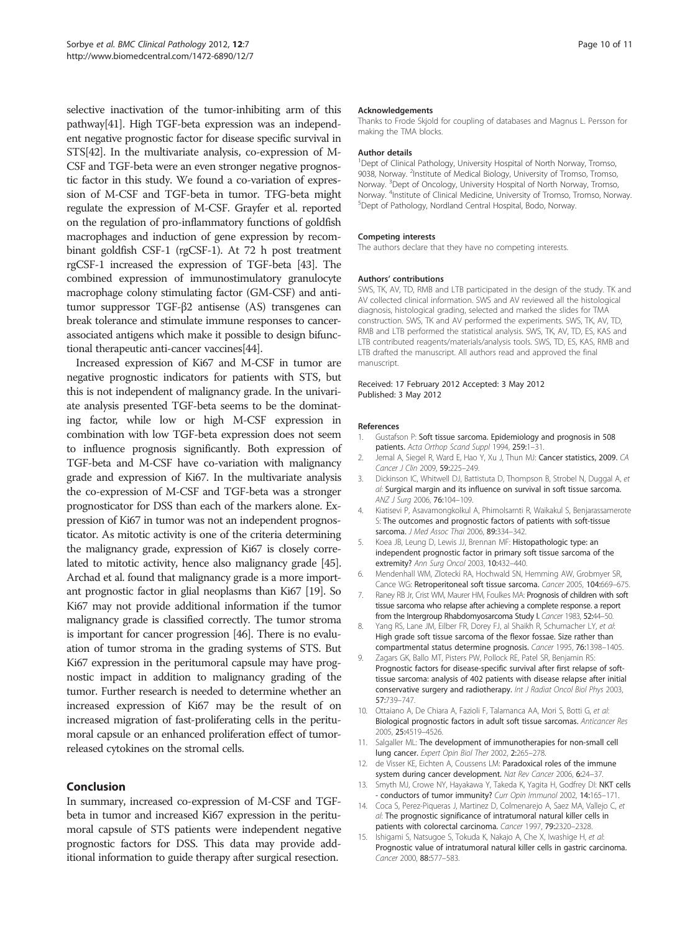<span id="page-9-0"></span>selective inactivation of the tumor-inhibiting arm of this pathway[\[41](#page-10-0)]. High TGF-beta expression was an independent negative prognostic factor for disease specific survival in STS[[42\]](#page-10-0). In the multivariate analysis, co-expression of M-CSF and TGF-beta were an even stronger negative prognostic factor in this study. We found a co-variation of expression of M-CSF and TGF-beta in tumor. TFG-beta might regulate the expression of M-CSF. Grayfer et al. reported on the regulation of pro-inflammatory functions of goldfish macrophages and induction of gene expression by recombinant goldfish CSF-1 (rgCSF-1). At 72 h post treatment rgCSF-1 increased the expression of TGF-beta [[43](#page-10-0)]. The combined expression of immunostimulatory granulocyte macrophage colony stimulating factor (GM-CSF) and antitumor suppressor TGF-β2 antisense (AS) transgenes can break tolerance and stimulate immune responses to cancerassociated antigens which make it possible to design bifunctional therapeutic anti-cancer vaccines[\[44](#page-10-0)].

Increased expression of Ki67 and M-CSF in tumor are negative prognostic indicators for patients with STS, but this is not independent of malignancy grade. In the univariate analysis presented TGF-beta seems to be the dominating factor, while low or high M-CSF expression in combination with low TGF-beta expression does not seem to influence prognosis significantly. Both expression of TGF-beta and M-CSF have co-variation with malignancy grade and expression of Ki67. In the multivariate analysis the co-expression of M-CSF and TGF-beta was a stronger prognosticator for DSS than each of the markers alone. Expression of Ki67 in tumor was not an independent prognosticator. As mitotic activity is one of the criteria determining the malignancy grade, expression of Ki67 is closely correlated to mitotic activity, hence also malignancy grade [\[45](#page-10-0)]. Archad et al. found that malignancy grade is a more important prognostic factor in glial neoplasms than Ki67 [\[19](#page-10-0)]. So Ki67 may not provide additional information if the tumor malignancy grade is classified correctly. The tumor stroma is important for cancer progression [\[46\]](#page-10-0). There is no evaluation of tumor stroma in the grading systems of STS. But Ki67 expression in the peritumoral capsule may have prognostic impact in addition to malignancy grading of the tumor. Further research is needed to determine whether an increased expression of Ki67 may be the result of on increased migration of fast-proliferating cells in the peritumoral capsule or an enhanced proliferation effect of tumorreleased cytokines on the stromal cells.

# Conclusion

In summary, increased co-expression of M-CSF and TGFbeta in tumor and increased Ki67 expression in the peritumoral capsule of STS patients were independent negative prognostic factors for DSS. This data may provide additional information to guide therapy after surgical resection.

#### Acknowledgements

Thanks to Frode Skjold for coupling of databases and Magnus L. Persson for making the TMA blocks.

#### Author details

<sup>1</sup>Dept of Clinical Pathology, University Hospital of North Norway, Tromso, 9038, Norway. <sup>2</sup>Institute of Medical Biology, University of Tromso, Tromso Norway. <sup>3</sup> Dept of Oncology, University Hospital of North Norway, Tromso, Norway. <sup>4</sup>Institute of Clinical Medicine, University of Tromso, Tromso, Norway.<br><sup>5</sup>Dent of Pathology, Nordland Central Hospital, Bodo, Norway. <sup>5</sup>Dept of Pathology, Nordland Central Hospital, Bodo, Norway.

#### Competing interests

The authors declare that they have no competing interests.

#### Authors' contributions

SWS, TK, AV, TD, RMB and LTB participated in the design of the study. TK and AV collected clinical information. SWS and AV reviewed all the histological diagnosis, histological grading, selected and marked the slides for TMA construction. SWS, TK and AV performed the experiments. SWS, TK, AV, TD, RMB and LTB performed the statistical analysis. SWS, TK, AV, TD, ES, KAS and LTB contributed reagents/materials/analysis tools. SWS, TD, ES, KAS, RMB and LTB drafted the manuscript. All authors read and approved the final manuscript.

#### Received: 17 February 2012 Accepted: 3 May 2012 Published: 3 May 2012

#### References

- 1. Gustafson P: Soft tissue sarcoma. Epidemiology and prognosis in 508 patients. Acta Orthop Scand Suppl 1994, 259:1-31.
- 2. Jemal A, Siegel R, Ward E, Hao Y, Xu J, Thun MJ: Cancer statistics, 2009. CA Cancer J Clin 2009, 59:225–249.
- 3. Dickinson IC, Whitwell DJ, Battistuta D, Thompson B, Strobel N, Duggal A, et al: Surgical margin and its influence on survival in soft tissue sarcoma. ANZ J Surg 2006, 76:104–109.
- 4. Kiatisevi P, Asavamongkolkul A, Phimolsarnti R, Waikakul S, Benjarassamerote S: The outcomes and prognostic factors of patients with soft-tissue sarcoma. J Med Assoc Thai 2006, 89:334-342.
- 5. Koea JB, Leung D, Lewis JJ, Brennan MF: Histopathologic type: an independent prognostic factor in primary soft tissue sarcoma of the extremity? Ann Surg Oncol 2003, 10:432–440.
- 6. Mendenhall WM, Zlotecki RA, Hochwald SN, Hemming AW, Grobmyer SR, Cance WG: Retroperitoneal soft tissue sarcoma. Cancer 2005, 104:669–675.
- 7. Raney RB Jr, Crist WM, Maurer HM, Foulkes MA: Prognosis of children with soft tissue sarcoma who relapse after achieving a complete response. a report from the Intergroup Rhabdomyosarcoma Study I. Cancer 1983, 52:44-50.
- 8. Yang RS, Lane JM, Filber FR, Dorey FJ, al Shaikh R, Schumacher LY, et al: High grade soft tissue sarcoma of the flexor fossae. Size rather than compartmental status determine prognosis. Cancer 1995, 76:1398–1405.
- 9. Zagars GK, Ballo MT, Pisters PW, Pollock RE, Patel SR, Benjamin RS: Prognostic factors for disease-specific survival after first relapse of softtissue sarcoma: analysis of 402 patients with disease relapse after initial conservative surgery and radiotherapy. Int J Radiat Oncol Biol Phys 2003, 57:739–747.
- 10. Ottaiano A, De Chiara A, Fazioli F, Talamanca AA, Mori S, Botti G, et al: Biological prognostic factors in adult soft tissue sarcomas. Anticancer Res 2005, 25:4519–4526.
- 11. Salgaller ML: The development of immunotherapies for non-small cell lung cancer. Expert Opin Biol Ther 2002, 2:265–278.
- 12. de Visser KE, Eichten A, Coussens LM: Paradoxical roles of the immune system during cancer development. Nat Rev Cancer 2006, 6:24-37
- 13. Smyth MJ, Crowe NY, Hayakawa Y, Takeda K, Yagita H, Godfrey DI: NKT cells conductors of tumor immunity? Curr Opin Immunol 2002, 14:165-171.
- 14. Coca S, Perez-Piqueras J, Martinez D, Colmenarejo A, Saez MA, Vallejo C, et al: The prognostic significance of intratumoral natural killer cells in patients with colorectal carcinoma. Cancer 1997, 79:2320–2328.
- 15. Ishigami S, Natsugoe S, Tokuda K, Nakajo A, Che X, Iwashige H, et al: Prognostic value of intratumoral natural killer cells in gastric carcinoma. Cancer 2000, 88:577–583.